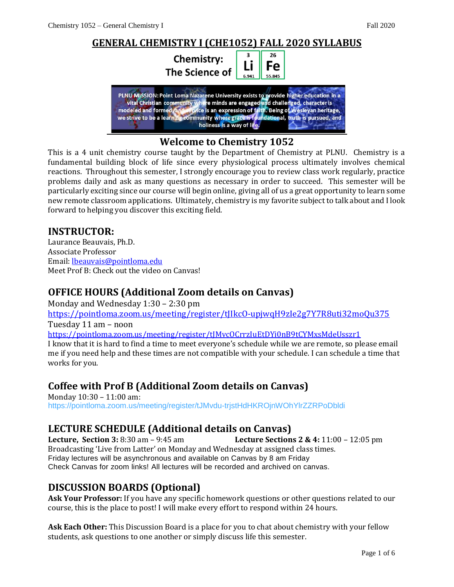

# **Welcome to Chemistry 1052**

This is a 4 unit chemistry course taught by the Department of Chemistry at PLNU. Chemistry is a fundamental building block of life since every physiological process ultimately involves chemical reactions. Throughout this semester, I strongly encourage you to review class work regularly, practice problems daily and ask as many questions as necessary in order to succeed. This semester will be particularly exciting since our course will begin online, giving all of us a great opportunity to learn some new remote classroom applications. Ultimately, chemistry is my favorite subject to talk about and I look forward to helping you discover this exciting field.

#### **INSTRUCTOR:**

Laurance Beauvais, Ph.D. Associate Professor Email: [lbeauvais@pointloma.edu](mailto:lbeauvais@pointloma.edu) Meet Prof B: Check out the video on Canvas!

### **OFFICE HOURS (Additional Zoom details on Canvas)**

Monday and Wednesday 1:30 – 2:30 pm

<https://pointloma.zoom.us/meeting/register/tJIkcO-upjwqH9zIe2g7Y7R8uti32moQu375> Tuesday 11 am – noon

<https://pointloma.zoom.us/meeting/register/tJMvcOCrrzIuEtDYi0nB9tCYMxsMdeUsszr1>

I know that it is hard to find a time to meet everyone's schedule while we are remote, so please email me if you need help and these times are not compatible with your schedule. I can schedule a time that works for you.

### **Coffee with Prof B (Additional Zoom details on Canvas)**

Monday 10:30 – 11:00 am: <https://pointloma.zoom.us/meeting/register/tJMvdu-trjstHdHKROjnWOhYlrZZRPoDbldi>

### **LECTURE SCHEDULE (Additional details on Canvas)**

**Lecture, Section 3:** 8:30 am – 9:45 am **Lecture Sections 2 & 4:** 11:00 – 12:05 pm Broadcasting 'Live from Latter' on Monday and Wednesday at assigned class times. Friday lectures will be asynchronous and available on Canvas by 8 am Friday Check Canvas for zoom links! All lectures will be recorded and archived on canvas.

# **DISCUSSION BOARDS (Optional)**

**Ask Your Professor:** If you have any specific homework questions or other questions related to our course, this is the place to post! I will make every effort to respond within 24 hours.

**Ask Each Other:** This Discussion Board is a place for you to chat about chemistry with your fellow students, ask questions to one another or simply discuss life this semester.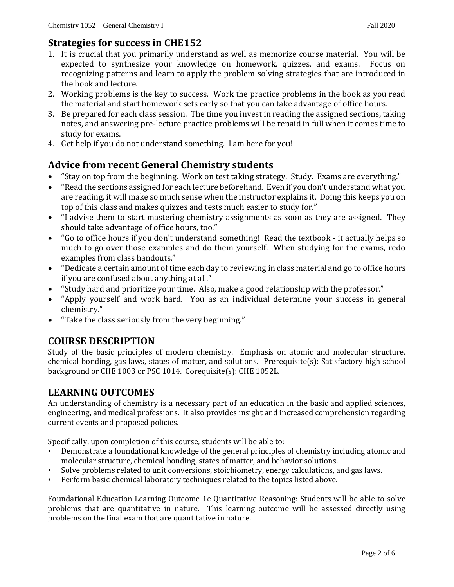### **Strategies for success in CHE152**

- 1. It is crucial that you primarily understand as well as memorize course material. You will be expected to synthesize your knowledge on homework, quizzes, and exams. Focus on recognizing patterns and learn to apply the problem solving strategies that are introduced in the book and lecture.
- 2. Working problems is the key to success. Work the practice problems in the book as you read the material and start homework sets early so that you can take advantage of office hours.
- 3. Be prepared for each class session. The time you invest in reading the assigned sections, taking notes, and answering pre-lecture practice problems will be repaid in full when it comes time to study for exams.
- 4. Get help if you do not understand something. I am here for you!

## **Advice from recent General Chemistry students**

- "Stay on top from the beginning. Work on test taking strategy. Study. Exams are everything."
- "Read the sections assigned for each lecture beforehand. Even if you don't understand what you are reading, it will make so much sense when the instructor explains it. Doing this keeps you on top of this class and makes quizzes and tests much easier to study for."
- "I advise them to start mastering chemistry assignments as soon as they are assigned. They should take advantage of office hours, too."
- "Go to office hours if you don't understand something! Read the textbook it actually helps so much to go over those examples and do them yourself. When studying for the exams, redo examples from class handouts."
- "Dedicate a certain amount of time each day to reviewing in class material and go to office hours if you are confused about anything at all."
- "Study hard and prioritize your time. Also, make a good relationship with the professor."
- "Apply yourself and work hard. You as an individual determine your success in general chemistry."
- "Take the class seriously from the very beginning."

### **COURSE DESCRIPTION**

Study of the basic principles of modern chemistry. Emphasis on atomic and molecular structure, chemical bonding, gas laws, states of matter, and solutions. Prerequisite(s): Satisfactory high school background or CHE 1003 or PSC 1014. Corequisite(s): CHE 1052L.

### **LEARNING OUTCOMES**

An understanding of chemistry is a necessary part of an education in the basic and applied sciences, engineering, and medical professions. It also provides insight and increased comprehension regarding current events and proposed policies.

Specifically, upon completion of this course, students will be able to:

- Demonstrate a foundational knowledge of the general principles of chemistry including atomic and molecular structure, chemical bonding, states of matter, and behavior solutions.
- Solve problems related to unit conversions, stoichiometry, energy calculations, and gas laws.
- Perform basic chemical laboratory techniques related to the topics listed above.

Foundational Education Learning Outcome 1e Quantitative Reasoning: Students will be able to solve problems that are quantitative in nature. This learning outcome will be assessed directly using problems on the final exam that are quantitative in nature.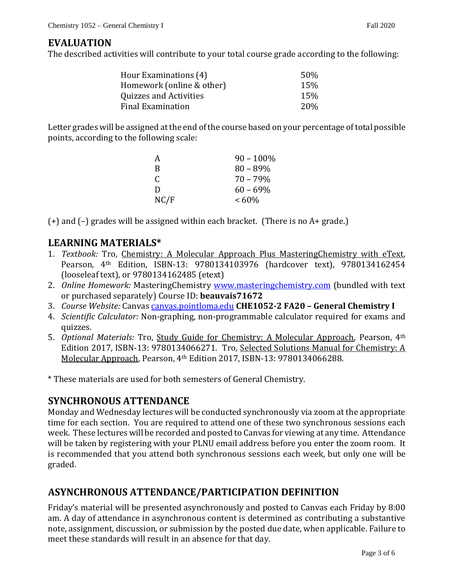#### **EVALUATION**

The described activities will contribute to your total course grade according to the following:

| Hour Examinations (4)     | 50%             |
|---------------------------|-----------------|
| Homework (online & other) | 15%             |
| Quizzes and Activities    | 15%             |
| Final Examination         | 20 <sub>%</sub> |

Letter grades will be assigned at the end of the course based on your percentage of total possible points, according to the following scale:

| А    | $90 - 100\%$ |
|------|--------------|
| R    | $80 - 89%$   |
| C    | $70 - 79%$   |
| D    | $60 - 69\%$  |
| NC/F | $~160\%$     |

(+) and (–) grades will be assigned within each bracket. (There is no A+ grade.)

#### **LEARNING MATERIALS\***

- 1. *Textbook:* Tro, Chemistry: A Molecular Approach Plus MasteringChemistry with eText, Pearson, 4th Edition, ISBN-13: 9780134103976 (hardcover text), 9780134162454 (looseleaf text), or 9780134162485 (etext)
- 2. *Online Homework:* MasteringChemistry [www.masteringchemistry.com](http://www.masteringchemistry.com/) (bundled with text or purchased separately) Course ID: **beauvais71672**
- 3. *Course Website:* Canvas [canvas.pointloma.edu](https://canvas.pointloma.edu/) **CHE1052-2 FA20 – General Chemistry I**
- 4. *Scientific Calculator:* Non-graphing, non-programmable calculator required for exams and quizzes.
- 5. *Optional Materials:* Tro, Study Guide for Chemistry: A Molecular Approach, Pearson, 4th Edition 2017, ISBN-13: 9780134066271. Tro, Selected Solutions Manual for Chemistry: A Molecular Approach, Pearson, 4th Edition 2017, ISBN-13: 9780134066288.

\* These materials are used for both semesters of General Chemistry.

#### **SYNCHRONOUS ATTENDANCE**

Monday and Wednesday lectures will be conducted synchronously via zoom at the appropriate time for each section. You are required to attend one of these two synchronous sessions each week. These lectures will be recorded and posted to Canvas for viewing at any time. Attendance will be taken by registering with your PLNU email address before you enter the zoom room. It is recommended that you attend both synchronous sessions each week, but only one will be graded.

### **ASYNCHRONOUS ATTENDANCE/PARTICIPATION DEFINITION**

Friday's material will be presented asynchronously and posted to Canvas each Friday by 8:00 am. A day of attendance in asynchronous content is determined as contributing a substantive note, assignment, discussion, or submission by the posted due date, when applicable. Failure to meet these standards will result in an absence for that day.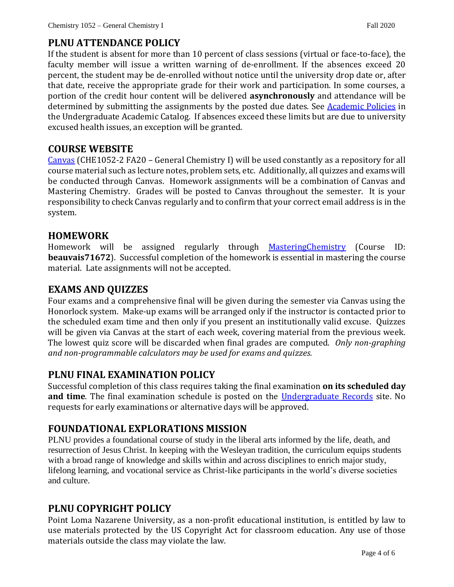# **PLNU ATTENDANCE POLICY**

If the student is absent for more than 10 percent of class sessions (virtual or face-to-face), the faculty member will issue a written warning of de-enrollment. If the absences exceed 20 percent, the student may be de-enrolled without notice until the university drop date or, after that date, receive the appropriate grade for their work and participation. In some courses, a portion of the credit hour content will be delivered **asynchronously** and attendance will be determined by submitting the assignments by the posted due dates. See [Academic Policies](https://catalog.pointloma.edu/content.php?catoid=46&navoid=2650#Class_Attendance) in the Undergraduate Academic Catalog. If absences exceed these limits but are due to university excused health issues, an exception will be granted.

### **COURSE WEBSITE**

[Canvas](https://canvas.pointloma.edu/) (CHE1052-2 FA20 – General Chemistry I) will be used constantly as a repository for all course material such as lecture notes, problem sets, etc. Additionally, all quizzes and exams will be conducted through Canvas. Homework assignments will be a combination of Canvas and Mastering Chemistry. Grades will be posted to Canvas throughout the semester. It is your responsibility to check Canvas regularly and to confirm that your correct email address is in the system.

### **HOMEWORK**

Homework will be assigned regularly through [MasteringChemistry](https://www.pearsonmylabandmastering.com/northamerica/masteringchemistry/) (Course ID: **beauvais71672**). Successful completion of the homework is essential in mastering the course material. Late assignments will not be accepted.

### **EXAMS AND QUIZZES**

Four exams and a comprehensive final will be given during the semester via Canvas using the Honorlock system. Make-up exams will be arranged only if the instructor is contacted prior to the scheduled exam time and then only if you present an institutionally valid excuse. Quizzes will be given via Canvas at the start of each week, covering material from the previous week. The lowest quiz score will be discarded when final grades are computed. *Only non-graphing and non-programmable calculators may be used for exams and quizzes.*

### **PLNU FINAL EXAMINATION POLICY**

Successful completion of this class requires taking the final examination **on its scheduled day and time**. The final examination schedule is posted on the [Undergraduate Records](https://www.pointloma.edu/offices/records/undergraduate-records) site. No requests for early examinations or alternative days will be approved.

# **FOUNDATIONAL EXPLORATIONS MISSION**

PLNU provides a foundational course of study in the liberal arts informed by the life, death, and resurrection of Jesus Christ. In keeping with the Wesleyan tradition, the curriculum equips students with a broad range of knowledge and skills within and across disciplines to enrich major study, lifelong learning, and vocational service as Christ-like participants in the world's diverse societies and culture.

# **PLNU COPYRIGHT POLICY**

Point Loma Nazarene University, as a non-profit educational institution, is entitled by law to use materials protected by the US Copyright Act for classroom education. Any use of those materials outside the class may violate the law.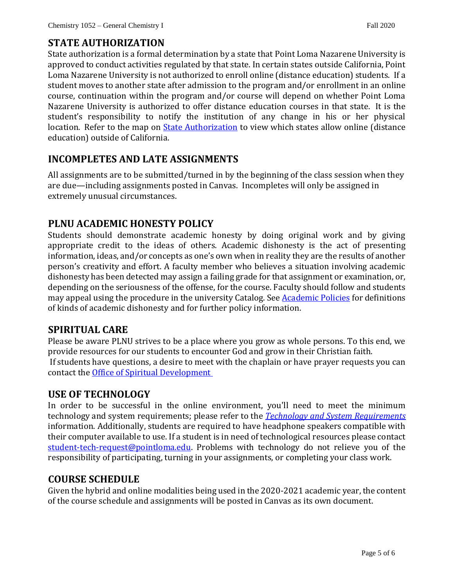#### **STATE AUTHORIZATION**

State authorization is a formal determination by a state that Point Loma Nazarene University is approved to conduct activities regulated by that state. In certain states outside California, Point Loma Nazarene University is not authorized to enroll online (distance education) students. If a student moves to another state after admission to the program and/or enrollment in an online course, continuation within the program and/or course will depend on whether Point Loma Nazarene University is authorized to offer distance education courses in that state. It is the student's responsibility to notify the institution of any change in his or her physical location. Refer to the map on [State Authorization](https://www.pointloma.edu/offices/office-institutional-effectiveness-research/disclosures) to view which states allow online (distance education) outside of California.

### **INCOMPLETES AND LATE ASSIGNMENTS**

All assignments are to be submitted/turned in by the beginning of the class session when they are due—including assignments posted in Canvas. Incompletes will only be assigned in extremely unusual circumstances.

### **PLNU ACADEMIC HONESTY POLICY**

Students should demonstrate academic honesty by doing original work and by giving appropriate credit to the ideas of others. Academic dishonesty is the act of presenting information, ideas, and/or concepts as one's own when in reality they are the results of another person's creativity and effort. A faculty member who believes a situation involving academic dishonesty has been detected may assign a failing grade for that assignment or examination, or, depending on the seriousness of the offense, for the course. Faculty should follow and students may appeal using the procedure in the university Catalog. See [Academic Policies](https://catalog.pointloma.edu/content.php?catoid=41&navoid=2435#Academic_Honesty) for definitions of kinds of academic dishonesty and for further policy information.

### **SPIRITUAL CARE**

Please be aware PLNU strives to be a place where you grow as whole persons. To this end, we provide resources for our students to encounter God and grow in their Christian faith. If students have questions, a desire to meet with the chaplain or have prayer requests you can contact the [Office of Spiritual Development](https://www.pointloma.edu/offices/spiritual-development)

### **USE OF TECHNOLOGY**

In order to be successful in the online environment, you'll need to meet the minimum technology and system requirements; please refer to the *[Technology and System Requirements](https://help.pointloma.edu/TDClient/1808/Portal/KB/ArticleDet?ID=108349)*  information. Additionally, students are required to have headphone speakers compatible with their computer available to use. If a student is in need of technological resources please contact [student-tech-request@pointloma.edu.](mailto:student-tech-request@pointloma.edu) Problems with technology do not relieve you of the responsibility of participating, turning in your assignments, or completing your class work.

#### **COURSE SCHEDULE**

Given the hybrid and online modalities being used in the 2020-2021 academic year, the content of the course schedule and assignments will be posted in Canvas as its own document.